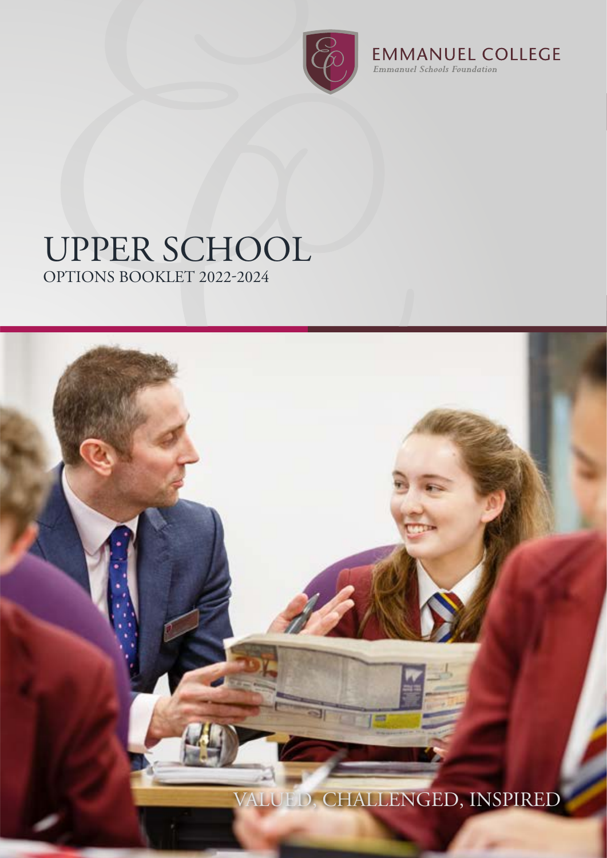

**EMMANUEL COLLEGE**<br>*Emmanuel Schools Foundation* 

# UPPER SCHOOL

OPTIONS BOOKLET 2022-2024

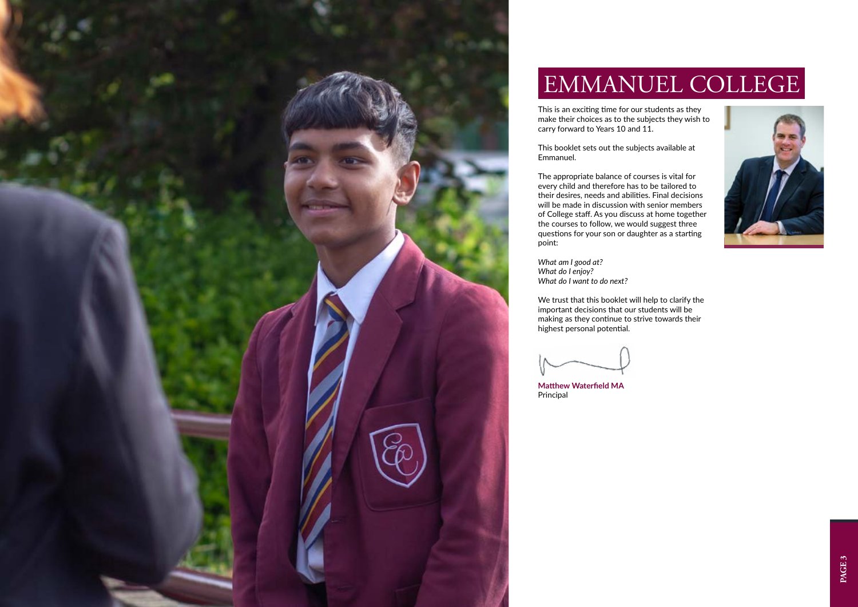



# EMMANUEL COLLEGE

This is an exciting time for our students as they make their choices as to the subjects they wish to carry forward to Years 10 and 11.

This booklet sets out the subjects available at Emmanuel.

The appropriate balance of courses is vital for every child and therefore has to be tailored to their desires, needs and abilities. Final decisions will be made in discussion with senior members of College staff. As you discuss at home together the courses to follow, we would suggest three questions for your son or daughter as a starting point:

*What am I good at? What do I enjoy? What do I want to do next?* 

We trust that this booklet will help to clarify the important decisions that our students will be making as they continue to strive towards their highest personal potential.

**Matthew Waterfield MA** Principal

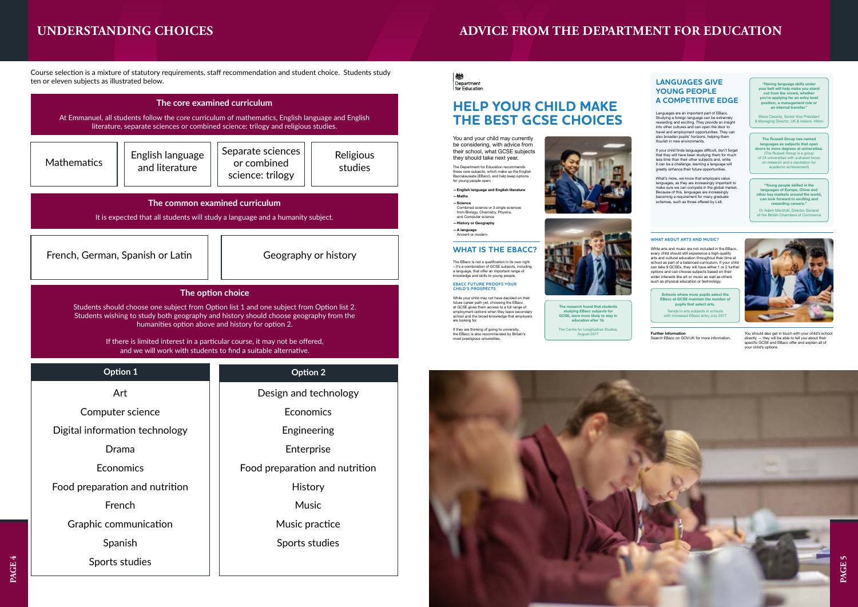You and your child may currently be considering, with advice from their school, what GCSE subjects they should take next year.

### **WHAT IS THE EBACC?**

The EBacc is not a qualification in its own right – it's a combination of GCSE subjects, including a language, that offer an important range of knowledge and skills to young people.

#### **EBACC FUTURE PROOFS YOUR CHILD'S PROSPECTS**

Combined science or 3 single sciences from Biology, Chemistry, Physics, and Computer science

While your child may not have decided on their future career path yet, choosing the EBacc at GCSE gives them access to a full range of employment options when they leave secondary school and the broad knowledge that employers are looking for.

If they are thinking of going to university, the EBacc is also recommended by Britain's most prestigious universities.



The Department for Education recommends these core subjects, which make up the English Baccalaureate (EBacc), and help keep options for young people open:

#### **—English language and English literature —Maths —Science**

Trends in arts subjects in schools with increased EBacc entry July 2017

**—History or Geography**

Languages are an important part of EBacc. Studying a foreign language can be extremely rewarding and exciting. They provide an insight into other cultures and can open the door to travel and employment opportunities. They can also broaden pupils' horizons, helping them flourish in new environments.

**—A language** Ancient or modern

### **HELP YOUR CHILD MAKE THE BEST GCSE CHOICES**

**The research found that students studying EBacc subjects for GCSE, were more likely to stay in education after 16.** 

The Centre for Longitudinal Studies, August 2017



#### **WHAT ABOUT ARTS AND MUSIC?**

What's more, we know that employers value languages, as they are increasingly important to make sure we can compete in the global market. Because of this, languages are increasingly becoming a requirement for many graduate schemes, such as those offered by Lidl.

"Having language skills under<br>your belt will help make you stand<br>out from the crowd, whether<br>you're applying for an entry level<br>position, a management role or<br>an internal transfer."

While arts and music are not included in the EBacc, every child should still experience a high-quality<br>arts and cultural education throughout their time at<br>school as part of a balanced curriculum. If your child<br>can take 9 GCSEs, they will have either 1 or 2 further options and can choose subjects based on their wider interests like art or music as well as others such as physical education or technology.

**The Russell Group has named languages as subjects that open doors to more degrees at universities.**<br>
(The Russell Group is a group<br>
of 24 universities with a shared focus<br>
on research and a reputation for<br>
academic achievement)

**Further Information**  Search EBacc on GOV.UK for more information.



You should also get in touch with your child's school directly — they will be able to tell you about their specific GCSE and EBacc offer and explain all of your child's options.

**Schools where more pupils select the EBacc at GCSE maintain the number of pupils that select arts.**

If your child finds languages difficult, don't forget that they will have been studying them for much less time than their other subjects and, while it can be a challenge, learning a language will greatly enhance their future opportunities.

> **"Young people skilled in the languages of Europe, China and other key markets around the world, can look forward to exciting and rewarding careers."**

Dr Adam Marshall, Director General of the British Chambers of Commerce

### **LANGUAGES GIVE YOUNG PEOPLE A COMPETITIVE EDGE**

Steve Cassidy, Senior Vice President & Managing Director, UK & Ireland, Hilton

**PAGE 4**



## **UNDERSTANDING CHOICES**

Course selection is a mixture of statutory requirements, staff recommendation and student choice. Students study ten or eleven subjects as illustrated below.

| The core examined curriculum<br>At Emmanuel, all students follow the core curriculum of mathematics, English language and English<br>literature, separate sciences or combined science: trilogy and religious studies.                                                                                                                                                                                        |                                    |                                                      |                      |  |
|---------------------------------------------------------------------------------------------------------------------------------------------------------------------------------------------------------------------------------------------------------------------------------------------------------------------------------------------------------------------------------------------------------------|------------------------------------|------------------------------------------------------|----------------------|--|
| <b>Mathematics</b>                                                                                                                                                                                                                                                                                                                                                                                            | English language<br>and literature | Separate sciences<br>or combined<br>science: trilogy | Religious<br>studies |  |
| The common examined curriculum<br>It is expected that all students will study a language and a humanity subject.                                                                                                                                                                                                                                                                                              |                                    |                                                      |                      |  |
| French, German, Spanish or Latin                                                                                                                                                                                                                                                                                                                                                                              |                                    | Geography or history                                 |                      |  |
| The option choice<br>Students should choose one subject from Option list 1 and one subject from Option list 2.<br>Students wishing to study both geography and history should choose geography from the<br>humanities option above and history for option 2.<br>If there is limited interest in a particular course, it may not be offered,<br>and we will work with students to find a suitable alternative. |                                    |                                                      |                      |  |
|                                                                                                                                                                                                                                                                                                                                                                                                               |                                    |                                                      |                      |  |
| Option 1                                                                                                                                                                                                                                                                                                                                                                                                      |                                    | <b>Option 2</b>                                      |                      |  |
| Art                                                                                                                                                                                                                                                                                                                                                                                                           |                                    | Design and technology                                |                      |  |
| Computer science                                                                                                                                                                                                                                                                                                                                                                                              |                                    | Economics                                            |                      |  |
| Digital information technology                                                                                                                                                                                                                                                                                                                                                                                |                                    | Engineering                                          |                      |  |
| Drama                                                                                                                                                                                                                                                                                                                                                                                                         |                                    | Enterprise                                           |                      |  |
| Economics                                                                                                                                                                                                                                                                                                                                                                                                     |                                    | Food preparation and nutrition                       |                      |  |
| Food preparation and nutrition                                                                                                                                                                                                                                                                                                                                                                                |                                    | History                                              |                      |  |
| French                                                                                                                                                                                                                                                                                                                                                                                                        |                                    | <b>Music</b>                                         |                      |  |
| Graphic communication                                                                                                                                                                                                                                                                                                                                                                                         |                                    | Music practice                                       |                      |  |
| Spanish                                                                                                                                                                                                                                                                                                                                                                                                       |                                    | Sports studies                                       |                      |  |
| Sports studies                                                                                                                                                                                                                                                                                                                                                                                                |                                    |                                                      |                      |  |

#### 機 Department for Education

# **ADVICE FROM THE DEPARTMENT FOR EDUCATION**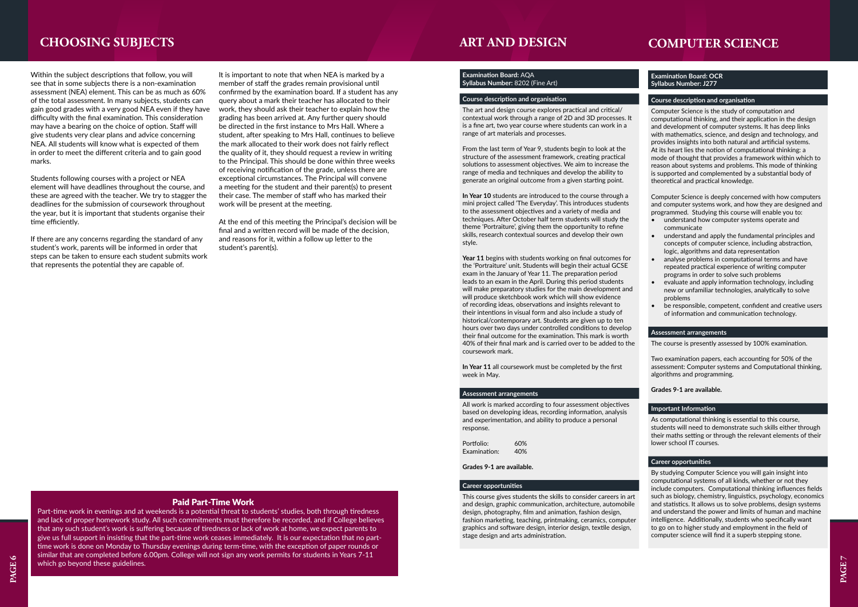### **Examination Board: OCR Syllabus Number: J277**

### **Course description and organisation**

Computer Science is the study of computation and computational thinking, and their application in the design and development of computer systems. It has deep links with mathematics, science, and design and technology, and provides insights into both natural and artificial systems. At its heart lies the notion of computational thinking: a mode of thought that provides a framework within which to reason about systems and problems. This mode of thinking is supported and complemented by a substantial body of theoretical and practical knowledge.

Computer Science is deeply concerned with how computers and computer systems work, and how they are designed and programmed. Studying this course will enable you to:

- understand how computer systems operate and communicate
- understand and apply the fundamental principles and concepts of computer science, including abstraction, logic, algorithms and data representation
- analyse problems in computational terms and have repeated practical experience of writing computer programs in order to solve such problems
- evaluate and apply information technology, including new or unfamiliar technologies, analytically to solve problems
- be responsible, competent, confident and creative users of information and communication technology.

### **Assessment arrangements**

The course is presently assessed by 100% examination.

Two examination papers, each accounting for 50% of the assessment: Computer systems and Computational thinking, algorithms and programming.

### **Grades 9-1 are available.**

### **Important Information**

As computational thinking is essential to this course, students will need to demonstrate such skills either through their maths setting or through the relevant elements of their lower school IT courses.

### **Career opportunities**

By studying Computer Science you will gain insight into computational systems of all kinds, whether or not they include computers. Computational thinking influences fields such as biology, chemistry, linguistics, psychology, economics and statistics. It allows us to solve problems, design systems and understand the power and limits of human and machine intelligence. Additionally, students who specifically want to go on to higher study and employment in the field of computer science will find it a superb stepping stone.

### **CHOOSING SUBJECTS COMPUTER SCIENCE**

Within the subject descriptions that follow, you will see that in some subjects there is a non-examination assessment (NEA) element. This can be as much as 60% of the total assessment. In many subjects, students can gain good grades with a very good NEA even if they have difficulty with the final examination. This consideration may have a bearing on the choice of option. Staff will give students very clear plans and advice concerning NEA. All students will know what is expected of them in order to meet the different criteria and to gain good marks.

Students following courses with a project or NEA element will have deadlines throughout the course, and these are agreed with the teacher. We try to stagger the deadlines for the submission of coursework throughout the year, but it is important that students organise their time efficiently.

If there are any concerns regarding the standard of any student's work, parents will be informed in order that steps can be taken to ensure each student submits work that represents the potential they are capable of.

> Portfolio: 60% Examination: 40%

It is important to note that when NEA is marked by a member of staff the grades remain provisional until confirmed by the examination board. If a student has any query about a mark their teacher has allocated to their work, they should ask their teacher to explain how the grading has been arrived at. Any further query should be directed in the first instance to Mrs Hall. Where a student, after speaking to Mrs Hall, continues to believe the mark allocated to their work does not fairly reflect the quality of it, they should request a review in writing to the Principal. This should be done within three weeks of receiving notification of the grade, unless there are exceptional circumstances. The Principal will convene a meeting for the student and their parent(s) to present their case. The member of staff who has marked their work will be present at the meeting.

At the end of this meeting the Principal's decision will be final and a written record will be made of the decision, and reasons for it, within a follow up letter to the student's parent(s).

### Paid Part-Time Work

Part-time work in evenings and at weekends is a potential threat to students' studies, both through tiredness and lack of proper homework study. All such commitments must therefore be recorded, and if College believes that any such student's work is suffering because of tiredness or lack of work at home, we expect parents to give us full support in insisting that the part-time work ceases immediately. It is our expectation that no parttime work is done on Monday to Thursday evenings during term-time, with the exception of paper rounds or similar that are completed before 6.00pm. College will not sign any work permits for students in Years 7-11 which go beyond these guidelines.

### **ART AND DESIGN**

### **Examination Board:** AQA **Syllabus Number:** 8202 (Fine Art)

### **Course description and organisation**

The art and design course explores practical and critical/ contextual work through a range of 2D and 3D processes. It is a fine art, two year course where students can work in a range of art materials and processes.

From the last term of Year 9, students begin to look at the structure of the assessment framework, creating practical solutions to assessment objectives. We aim to increase the range of media and techniques and develop the ability to generate an original outcome from a given starting point.

**In Year 10** students are introduced to the course through a mini project called 'The Everyday'. This introduces students to the assessment objectives and a variety of media and techniques. After October half term students will study the theme 'Portraiture', giving them the opportunity to refine skills, research contextual sources and develop their own style.

**Year 11** begins with students working on final outcomes for the 'Portraiture' unit. Students will begin their actual GCSE exam in the January of Year 11. The preparation period leads to an exam in the April. During this period students will make preparatory studies for the main development and will produce sketchbook work which will show evidence of recording ideas, observations and insights relevant to their intentions in visual form and also include a study of historical/contemporary art. Students are given up to ten hours over two days under controlled conditions to develop their final outcome for the examination. This mark is worth 40% of their final mark and is carried over to be added to the coursework mark.

**In Year 11** all coursework must be completed by the first week in May.

### **Assessment arrangements**

All work is marked according to four assessment objectives based on developing ideas, recording information, analysis and experimentation, and ability to produce a personal response.

**Grades 9-1 are available.**

### **Career opportunities**

This course gives students the skills to consider careers in art and design, graphic communication, architecture, automobile design, photography, film and animation, fashion design, fashion marketing, teaching, printmaking, ceramics, computer graphics and software design, interior design, textile design, stage design and arts administration.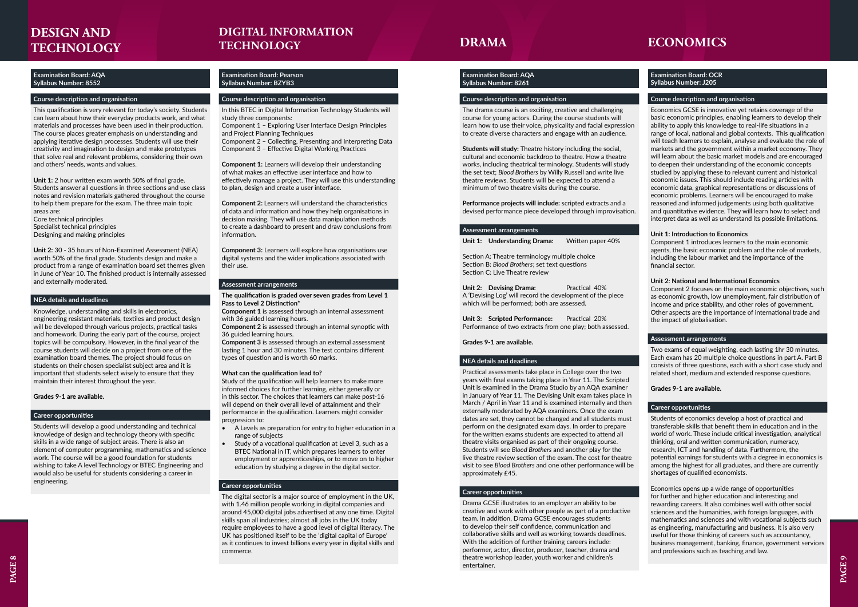### **Examination Board: AQA Syllabus Number: 8552**

### **Course description and organisation**

This qualification is very relevant for today's society. Students can learn about how their everyday products work, and what materials and processes have been used in their production. The course places greater emphasis on understanding and applying iterative design processes. Students will use their creativity and imagination to design and make prototypes that solve real and relevant problems, considering their own and others' needs, wants and values.

**Unit 1:** 2 hour written exam worth 50% of final grade. Students answer all questions in three sections and use class notes and revision materials gathered throughout the course to help them prepare for the exam. The three main topic areas are:

Core technical principles Specialist technical principles Designing and making principles

**Unit 2:** 30 - 35 hours of Non-Examined Assessment (NEA) worth 50% of the final grade. Students design and make a product from a range of examination board set themes given in June of Year 10. The finished product is internally assessed and externally moderated.

### **NEA details and deadlines**

Knowledge, understanding and skills in electronics, engineering resistant materials, textiles and product design will be developed through various projects, practical tasks and homework. During the early part of the course, project topics will be compulsory. However, in the final year of the course students will decide on a project from one of the examination board themes. The project should focus on students on their chosen specialist subject area and it is important that students select wisely to ensure that they maintain their interest throughout the year.

**Unit 2: Devising Drama:** Practical 40% A 'Devising Log' will record the development of the piece which will be performed; both are assessed.

**Unit 3: Scripted Performance:** Practical 20% Performance of two extracts from one play; both assessed.

### **Grades 9-1 are available.**

### **Career opportunities**

Students will develop a good understanding and technical knowledge of design and technology theory with specific skills in a wide range of subject areas. There is also an element of computer programming, mathematics and science work. The course will be a good foundation for students wishing to take A level Technology or BTEC Engineering and would also be useful for students considering a career in engineering.

# **DESIGN AND**

### **Examination Board: AQA Syllabus Number: 8261**

### **Course description and organisation**

### **TECHNOLOGY DRAMA DIGITAL INFORMATION TECHNOLOGY**

The drama course is an exciting, creative and challenging course for young actors. During the course students will learn how to use their voice, physicality and facial expression to create diverse characters and engage with an audience.

**Students will study:** Theatre history including the social, cultural and economic backdrop to theatre. How a theatre works, including theatrical terminology. Students will study the set text; *Blood Brothers* by Willy Russell and write live theatre reviews. Students will be expected to attend a minimum of two theatre visits during the course.

**Performance projects will include:** scripted extracts and a devised performance piece developed through improvisation.

### **Assessment arrangements**

**Unit 1: Understanding Drama:** Written paper 40%

Section A: Theatre terminology multiple choice Section B: *Blood Brothers*; set text questions Section C: Live Theatre review

**Grades 9-1 are available.**

### **NEA details and deadlines**

Practical assessments take place in College over the two years with final exams taking place in Year 11. The Scripted Unit is examined in the Drama Studio by an AQA examiner in January of Year 11. The Devising Unit exam takes place in March / April in Year 11 and is examined internally and then externally moderated by AQA examiners. Once the exam dates are set, they cannot be changed and all students must perform on the designated exam days. In order to prepare for the written exams students are expected to attend all theatre visits organised as part of their ongoing course. Students will see *Blood Brothers* and another play for the live theatre review section of the exam. The cost for theatre visit to see *Blood Brothers* and one other performance will be approximately £45.

### **Career opportunities**

Drama GCSE illustrates to an employer an ability to be creative and work with other people as part of a productive team. In addition, Drama GCSE encourages students to develop their self confidence, communication and collaborative skills and well as working towards deadlines. With the addition of further training careers include: performer, actor, director, producer, teacher, drama and theatre workshop leader, youth worker and children's entertainer.

### **Examination Board: Pearson Syllabus Number: BZYB3**

### **Course description and organisation**

In this BTEC in Digital Information Technology Students will study three components:

Component 1 – Exploring User Interface Design Principles and Project Planning Techniques

Component 2 – Collecting, Presenting and Interpreting Data Component 3 – Effective Digital Working Practices

**Component 1:** Learners will develop their understanding of what makes an effective user interface and how to effectively manage a project. They will use this understanding to plan, design and create a user interface.

**Component 2:** Learners will understand the characteristics of data and information and how they help organisations in decision making. They will use data manipulation methods to create a dashboard to present and draw conclusions from information.

**Component 3:** Learners will explore how organisations use digital systems and the wider implications associated with their use.

### **Assessment arrangements**

### **The qualification is graded over seven grades from Level 1 Pass to Level 2 Distinction\***

**Component 1** is assessed through an internal assessment with 36 guided learning hours.

**Component 2** is assessed through an internal synoptic with 36 guided learning hours.

**Component 3** is assessed through an external assessment lasting 1 hour and 30 minutes. The test contains different types of question and is worth 60 marks.

### **What can the qualification lead to?**

Study of the qualification will help learners to make more informed choices for further learning, either generally or in this sector. The choices that learners can make post-16 will depend on their overall level of attainment and their performance in the qualification. Learners might consider progression to:

- A Levels as preparation for entry to higher education in a range of subjects
- Study of a vocational qualification at Level 3, such as a BTEC National in IT, which prepares learners to enter employment or apprenticeships, or to move on to higher education by studying a degree in the digital sector.

### **Career opportunities**

The digital sector is a major source of employment in the UK, with 1.46 million people working in digital companies and around 45,000 digital jobs advertised at any one time. Digital skills span all industries; almost all jobs in the UK today require employees to have a good level of digital literacy. The UK has positioned itself to be the 'digital capital of Europe' as it continues to invest billions every year in digital skills and commerce.

### **Examination Board: OCR Syllabus Number: J205**

### **Course description and organisation**

Economics GCSE is innovative yet retains coverage of the basic economic principles, enabling learners to develop their ability to apply this knowledge to real-life situations in a range of local, national and global contexts. This qualification will teach learners to explain, analyse and evaluate the role of markets and the government within a market economy. They will learn about the basic market models and are encouraged to deepen their understanding of the economic concepts studied by applying these to relevant current and historical economic issues. This should include reading articles with economic data, graphical representations or discussions of economic problems. Learners will be encouraged to make reasoned and informed judgements using both qualitative and quantitative evidence. They will learn how to select and interpret data as well as understand its possible limitations.

### **Unit 1: Introduction to Economics**

Component 1 introduces learners to the main economic agents, the basic economic problem and the role of markets, including the labour market and the importance of the financial sector.

### **Unit 2: National and International Economics**

Component 2 focuses on the main economic objectives, such as economic growth, low unemployment, fair distribution of income and price stability, and other roles of government. Other aspects are the importance of international trade and the impact of globalisation.

### **Assessment arrangements**

Two exams of equal weighting, each lasting 1hr 30 minutes. Each exam has 20 multiple choice questions in part A. Part B consists of three questions, each with a short case study and related short, medium and extended response questions.

### **Grades 9-1 are available.**

### **Career opportunities**

Students of economics develop a host of practical and transferable skills that benefit them in education and in the world of work. These include critical investigation, analytical thinking, oral and written communication, numeracy, research, ICT and handling of data. Furthermore, the potential earnings for students with a degree in economics is among the highest for all graduates, and there are currently shortages of qualified economists.

Economics opens up a wide range of opportunities for further and higher education and interesting and rewarding careers. It also combines well with other social sciences and the humanities, with foreign languages, with mathematics and sciences and with vocational subjects such as engineering, manufacturing and business. It is also very useful for those thinking of careers such as accountancy, business management, banking, finance, government services and professions such as teaching and law.

### **ECONOMICS**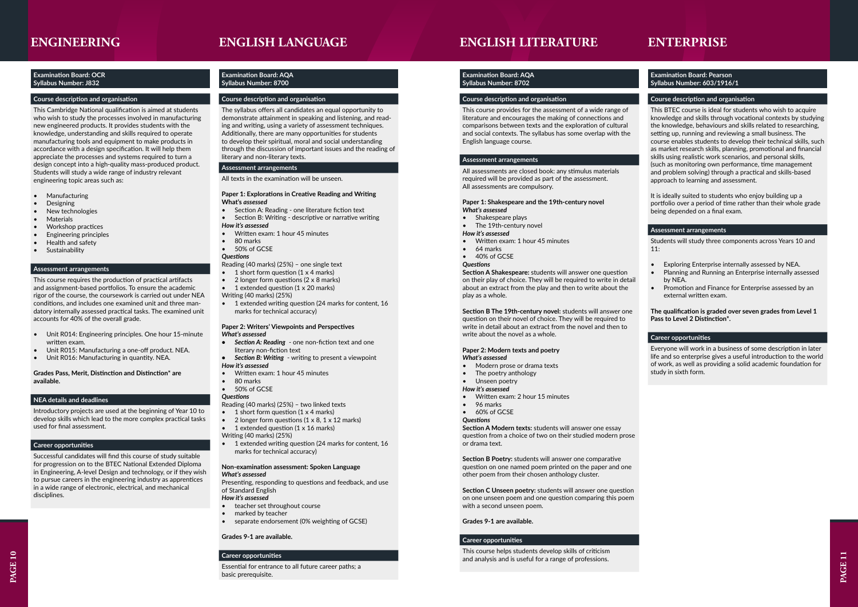PAGE 11

### **ENGLISH LITERATURE**

### **Examination Board: AQA Syllabus Number: 8702**

### **Course description and organisation**

This course provides for the assessment of a wide range of literature and encourages the making of connections and comparisons between texts and the exploration of cultural and social contexts. The syllabus has some overlap with the English language course.

- Shakespeare plays
- The 19th-century novel

### **Assessment arrangements**

All assessments are closed book: any stimulus materials required will be provided as part of the assessment. All assessments are compulsory.

#### **Paper 1: Shakespeare and the 19th-century novel**  *What's assessed*

### *How it's assessed*

- Written exam: 1 hour 45 minutes
- 64 marks
- 40% of GCSE

### *Questions*

**Section A Shakespeare:** students will answer one question on their play of choice. They will be required to write in detail about an extract from the play and then to write about the play as a whole.

**Section B The 19th-century novel:** students will answer one question on their novel of choice. They will be required to write in detail about an extract from the novel and then to write about the novel as a whole.

### **Paper 2: Modern texts and poetry**  *What's assessed*

- Modern prose or drama texts
- The poetry anthology
- Unseen poetry
- *How it's assessed*
- Written exam: 2 hour 15 minutes
- 96 marks
- 60% of GCSE

#### *Questions*

**Section A Modern texts:** students will answer one essay question from a choice of two on their studied modern prose or drama text.

**Section B Poetry:** students will answer one comparative question on one named poem printed on the paper and one other poem from their chosen anthology cluster.

**Section C Unseen poetry:** students will answer one question on one unseen poem and one question comparing this poem with a second unseen poem.

### **Grades 9-1 are available.**

### **Career opportunities**

This course helps students develop skills of criticism and analysis and is useful for a range of professions.

### **ENGINEERING**

### **Examination Board: OCR Syllabus Number: J832**

### **Course description and organisation**

This Cambridge National qualification is aimed at students who wish to study the processes involved in manufacturing new engineered products. It provides students with the knowledge, understanding and skills required to operate manufacturing tools and equipment to make products in accordance with a design specification. It will help them appreciate the processes and systems required to turn a design concept into a high-quality mass-produced product. Students will study a wide range of industry relevant engineering topic areas such as:

- **Manufacturing**
- Designing
- New technologies
- **Materials**
- Workshop practices
- Engineering principles
- Health and safety
- **Sustainability**

### **Assessment arrangements**

- teacher set throughout course
- marked by teacher
- separate endorsement (0% weighting of GCSE)

This course requires the production of practical artifacts and assignment-based portfolios. To ensure the academic rigor of the course, the coursework is carried out under NEA conditions, and includes one examined unit and three mandatory internally assessed practical tasks. The examined unit accounts for 40% of the overall grade.

- Unit R014: Engineering principles. One hour 15-minute written exam.
- Unit R015: Manufacturing a one-off product. NEA.
- Unit R016: Manufacturing in quantity. NEA.

**Grades Pass, Merit, Distinction and Distinction\* are available.**

### **NEA details and deadlines**

Introductory projects are used at the beginning of Year 10 to develop skills which lead to the more complex practical tasks used for final assessment.

- Exploring Enterprise internally assessed by NEA.
- Planning and Running an Enterprise internally assessed by NEA.
- Promotion and Finance for Enterprise assessed by an external written exam.

### **Career opportunities**

Successful candidates will find this course of study suitable for progression on to the BTEC National Extended Diploma in Engineering, A-level Design and technology, or if they wish to pursue careers in the engineering industry as apprentices in a wide range of electronic, electrical, and mechanical disciplines.

### **Examination Board: AQA Syllabus Number: 8700**

### **Course description and organisation**

The syllabus offers all candidates an equal opportunity to demonstrate attainment in speaking and listening, and reading and writing, using a variety of assessment techniques. Additionally, there are many opportunities for students to develop their spiritual, moral and social understanding through the discussion of important issues and the reading of literary and non-literary texts.

### **Assessment arrangements**

All texts in the examination will be unseen.

### **Paper 1: Explorations in Creative Reading and Writing What's** *assessed*

- Section A: Reading one literature fiction text
- Section B: Writing descriptive or narrative writing
- *How it's assessed*
- Written exam: 1 hour 45 minutes
- 80 marks
- 50% of GCSE

### *Questions*

- Reading (40 marks) (25%) one single text
- 1 short form question  $(1 \times 4 \text{ marks})$
- 2 longer form questions (2 x 8 marks)
- 1 extended question (1 x 20 marks)
- Writing (40 marks) (25%)
- 1 extended writing question (24 marks for content, 16 marks for technical accuracy)

### **Paper 2: Writers' Viewpoints and Perspectives**  *What's assessed*

- *• Section A: Reading* one non-fiction text and one literary non-fiction text
- *• Section B: Writing* writing to present a viewpoint *How it's assessed*
- Written exam: 1 hour 45 minutes
- 80 marks
- 50% of GCSE

### *Questions*

- Reading (40 marks) (25%) two linked texts
- 1 short form question  $(1 \times 4 \text{ marks})$
- 2 longer form questions  $(1 \times 8, 1 \times 12 \text{ marks})$
- 1 extended question  $(1 \times 16 \text{ marks})$
- Writing (40 marks) (25%)
- 1 extended writing question (24 marks for content, 16 marks for technical accuracy)

### **Non-examination assessment: Spoken Language**  *What's assessed*

Presenting, responding to questions and feedback, and use of Standard English

### *How it's assessed*

### **Grades 9-1 are available.**

### **Career opportunities**

Essential for entrance to all future career paths; a basic prerequisite.

### **ENGLISH LANGUAGE**

### **Examination Board: Pearson Syllabus Number: 603/1916/1**

### **Course description and organisation**

This BTEC course is ideal for students who wish to acquire knowledge and skills through vocational contexts by studying the knowledge, behaviours and skills related to researching, setting up, running and reviewing a small business. The course enables students to develop their technical skills, such as market research skills, planning, promotional and financial skills using realistic work scenarios, and personal skills, (such as monitoring own performance, time management and problem solving) through a practical and skills-based approach to learning and assessment.

It is ideally suited to students who enjoy building up a portfolio over a period of time rather than their whole grade being depended on a final exam.

### **Assessment arrangements**

Students will study three components across Years 10 and 11:

**The qualification is graded over seven grades from Level 1 Pass to Level 2 Distinction\*.**

### **Career opportunities**

Everyone will work in a business of some description in later life and so enterprise gives a useful introduction to the world of work, as well as providing a solid academic foundation for study in sixth form.

## **ENTERPRISE**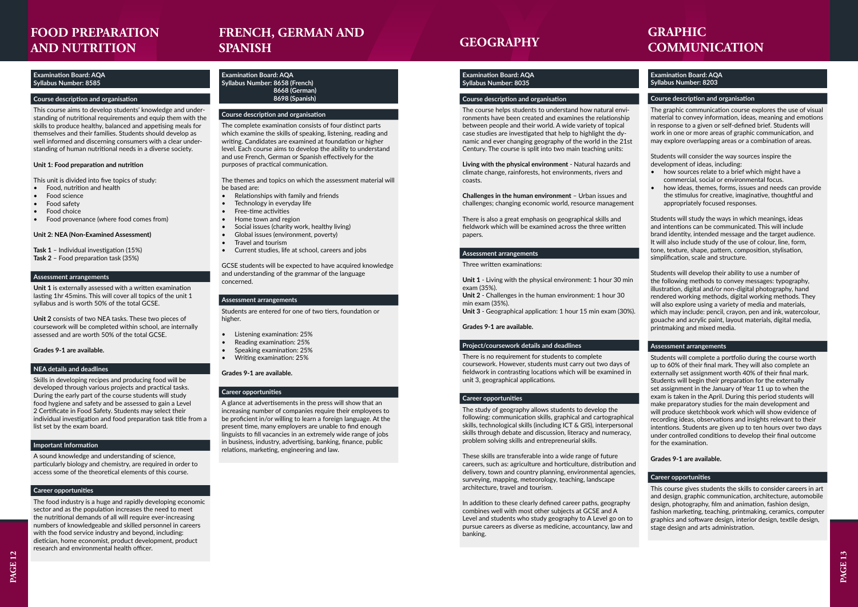### **Examination Board: AQA Syllabus Number: 8585**

### **Course description and organisation**

This course aims to develop students' knowledge and understanding of nutritional requirements and equip them with the skills to produce healthy, balanced and appetising meals for themselves and their families. Students should develop as well informed and discerning consumers with a clear understanding of human nutritional needs in a diverse society.

### **Unit 1: Food preparation and nutrition**

This unit is divided into five topics of study:

- Food, nutrition and health
- Food science
- Food safety
- Food choice
- Food provenance (where food comes from)

### **Unit 2: NEA (Non-Examined Assessment)**

- **Task 1**  Individual investigation (15%) **Task 2** – Food preparation task (35%)
- 

### **Assessment arrangements**

**Unit 1** is externally assessed with a written examination lasting 1hr 45mins. This will cover all topics of the unit 1 syllabus and is worth 50% of the total GCSE.

**Unit 2** consists of two NEA tasks. These two pieces of coursework will be completed within school, are internally assessed and are worth 50% of the total GCSE.

**Grades 9-1 are available.**

### **NEA details and deadlines**

Skills in developing recipes and producing food will be developed through various projects and practical tasks. During the early part of the course students will study food hygiene and safety and be assessed to gain a Level 2 Certificate in Food Safety. Students may select their individual investigation and food preparation task title from a list set by the exam board.

### **Important Information**

A sound knowledge and understanding of science, particularly biology and chemistry, are required in order to access some of the theoretical elements of this course.

### **Career opportunities**

The food industry is a huge and rapidly developing economic sector and as the population increases the need to meet the nutritional demands of all will require ever-increasing numbers of knowledgeable and skilled personnel in careers with the food service industry and beyond, including: dietician, home economist, product development, product research and environmental health officer.

# **FOOD PREPARATION AND NUTRITION**

## **FRENCH, GERMAN AND SPANISH**

### **Examination Board: AQA Syllabus Number: 8658 (French) 8668 (German) 8698 (Spanish)**

### **Course description and organisation**

The complete examination consists of four distinct parts which examine the skills of speaking, listening, reading and writing. Candidates are examined at foundation or higher level. Each course aims to develop the ability to understand and use French, German or Spanish effectively for the purposes of practical communication.

The themes and topics on which the assessment material will be based are:

- Relationships with family and friends
- Technology in everyday life
- Free-time activities
- Home town and region
- Social issues (charity work, healthy living)
- Global issues (environment, poverty)
- Travel and tourism
- Current studies, life at school, careers and jobs

GCSE students will be expected to have acquired knowledge and understanding of the grammar of the language concerned.

### **Assessment arrangements**

Students are entered for one of two tiers, foundation or higher.

- Listening examination: 25%
- Reading examination: 25%
- Speaking examination: 25%
- Writing examination: 25%

### **Grades 9-1 are available.**

### **Career opportunities**

A glance at advertisements in the press will show that an increasing number of companies require their employees to be proficient in/or willing to learn a foreign language. At the present time, many employers are unable to find enough linguists to fill vacancies in an extremely wide range of jobs in business, industry, advertising, banking, finance, public relations, marketing, engineering and law.

### **Examination Board: AQA Syllabus Number: 8035**

### **Course description and organisation**

The course helps students to understand how natural environments have been created and examines the relationship between people and their world. A wide variety of topical case studies are investigated that help to highlight the dynamic and ever changing geography of the world in the 21st Century. The course is split into two main teaching units:

**Living with the physical environment** - Natural hazards and climate change, rainforests, hot environments, rivers and coasts.

**Challenges in the human environment** – Urban issues and challenges; changing economic world, resource management

There is also a great emphasis on geographical skills and fieldwork which will be examined across the three written papers.

### **Assessment arrangements**

Three written examinations:

**Unit 1** - Living with the physical environment: 1 hour 30 min exam (35%).

**Unit 2** - Challenges in the human environment: 1 hour 30 min exam (35%).

**Unit 3** - Geographical application: 1 hour 15 min exam (30%).

### **Grades 9-1 are available.**

### **Project/coursework details and deadlines**

There is no requirement for students to complete coursework. However, students must carry out two days of fieldwork in contrasting locations which will be examined in unit 3, geographical applications.

### **Career opportunities**

The study of geography allows students to develop the following: communication skills, graphical and cartographical skills, technological skills (including ICT & GIS), interpersonal skills through debate and discussion, literacy and numeracy, problem solving skills and entrepreneurial skills.

These skills are transferable into a wide range of future careers, such as: agriculture and horticulture, distribution and delivery, town and country planning, environmental agencies, surveying, mapping, meteorology, teaching, landscape architecture, travel and tourism.

In addition to these clearly defined career paths, geography combines well with most other subjects at GCSE and A Level and students who study geography to A Level go on to pursue careers as diverse as medicine, accountancy, law and banking.

### **GEOGRAPHY**

# **GRAPHIC COMMUNICATION**

### **Examination Board: AQA Syllabus Number: 8203**

### **Course description and organisation**

The graphic communication course explores the use of visual material to convey information, ideas, meaning and emotions in response to a given or self-defined brief. Students will work in one or more areas of graphic communication, and may explore overlapping areas or a combination of areas.

Students will consider the way sources inspire the development of ideas, including:

- how sources relate to a brief which might have a commercial, social or environmental focus.
- how ideas, themes, forms, issues and needs can provide the stimulus for creative, imaginative, thoughtful and appropriately focused responses.

Students will study the ways in which meanings, ideas and intentions can be communicated. This will include brand identity, intended message and the target audience. It will also include study of the use of colour, line, form, tone, texture, shape, pattern, composition, stylisation, simplification, scale and structure.

Students will develop their ability to use a number of the following methods to convey messages: typography, illustration, digital and/or non-digital photography, hand rendered working methods, digital working methods. They will also explore using a variety of media and materials, which may include: pencil, crayon, pen and ink, watercolour, gouache and acrylic paint, layout materials, digital media, printmaking and mixed media.

### **Assessment arrangements**

Students will complete a portfolio during the course worth up to 60% of their final mark. They will also complete an externally set assignment worth 40% of their final mark. Students will begin their preparation for the externally set assignment in the January of Year 11 up to when the exam is taken in the April. During this period students will make preparatory studies for the main development and will produce sketchbook work which will show evidence of recording ideas, observations and insights relevant to their intentions. Students are given up to ten hours over two days under controlled conditions to develop their final outcome for the examination.

### **Grades 9-1 are available.**

### **Career opportunities**

This course gives students the skills to consider careers in art and design, graphic communication, architecture, automobile design, photography, film and animation, fashion design, fashion marketing, teaching, printmaking, ceramics, computer graphics and software design, interior design, textile design, stage design and arts administration.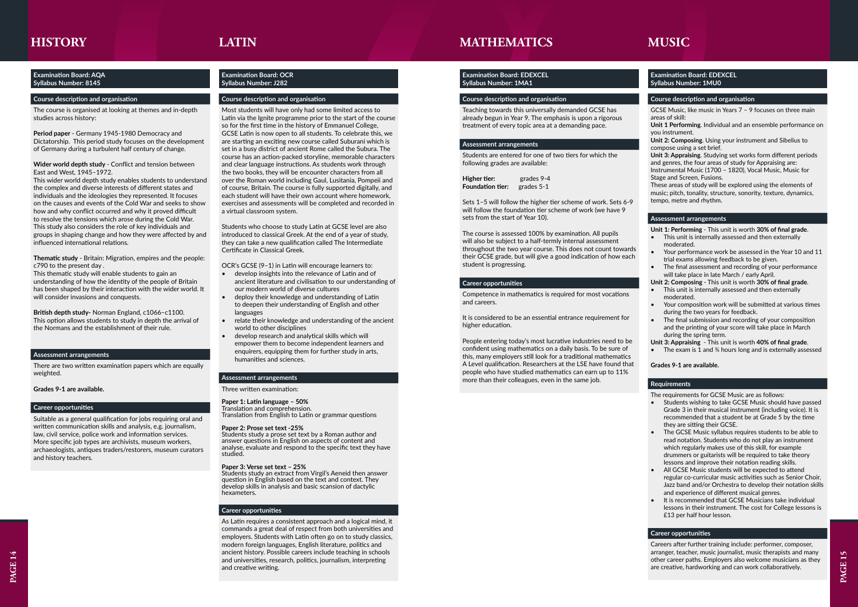

### **Examination Board: AQA Syllabus Number: 8145**

### **Course description and organisation**

The course is organised at looking at themes and in-depth studies across history:

**Period paper** - Germany 1945-1980 Democracy and Dictatorship. This period study focuses on the development of Germany during a turbulent half century of change.

### **Wider world depth study** - Conflict and tension between East and West, 1945–1972.

This thematic study will enable students to gain an understanding of how the identity of the people of Britain has been shaped by their interaction with the wider world. It will consider invasions and conquests.

This wider world depth study enables students to understand the complex and diverse interests of different states and individuals and the ideologies they represented. It focuses on the causes and events of the Cold War and seeks to show how and why conflict occurred and why it proved difficult to resolve the tensions which arose during the Cold War. This study also considers the role of key individuals and groups in shaping change and how they were affected by and influenced international relations.

**Thematic study** - Britain: Migration, empires and the people: c790 to the present day .

**British depth study-** Norman England, c1066–c1100. This option allows students to study in depth the arrival of the Normans and the establishment of their rule.

### **Assessment arrangements**

There are two written examination papers which are equally weighted.

### **Grades 9-1 are available.**

### **Career opportunities**

Suitable as a general qualification for jobs requiring oral and written communication skills and analysis, e.g. journalism, law, civil service, police work and information services. More specific job types are archivists, museum workers, archaeologists, antiques traders/restorers, museum curators and history teachers.

### **HISTORY LATIN**

### **Examination Board: OCR Syllabus Number: J282**

### **Course description and organisation**

Most students will have only had some limited access to Latin via the Ignite programme prior to the start of the course so for the first time in the history of Emmanuel College, GCSE Latin is now open to all students. To celebrate this, we are starting an exciting new course called Suburani which is set in a busy district of ancient Rome called the Subura. The course has an action-packed storyline, memorable characters and clear language instructions. As students work through the two books, they will be encounter characters from all over the Roman world including Gaul, Lusitania, Pompeii and of course, Britain. The course is fully supported digitally, and each student will have their own account where homework, exercises and assessments will be completed and recorded in a virtual classroom system.

Students who choose to study Latin at GCSE level are also introduced to classical Greek. At the end of a year of study, they can take a new qualification called The Intermediate Certificate in Classical Greek.

OCR's GCSE (9–1) in Latin will encourage learners to:

- develop insights into the relevance of Latin and of ancient literature and civilisation to our understanding of our modern world of diverse cultures
- deploy their knowledge and understanding of Latin to deepen their understanding of English and other languages
- relate their knowledge and understanding of the ancient world to other disciplines
- develop research and analytical skills which will empower them to become independent learners and enquirers, equipping them for further study in arts, humanities and sciences.

### **Assessment arrangements**

Three written examination:

### **Paper 1: Latin language – 50%**

Translation and comprehension. Translation from English to Latin or grammar questions

#### **Paper 2: Prose set text -25%**

Students study a prose set text by a Roman author and answer questions in English on aspects of content and analyse, evaluate and respond to the specific text they have studied.

#### **Paper 3: Verse set text – 25%**

Students study an extract from Virgil's Aeneid then answer question in English based on the text and context. They  $\rm{de}$ velop skills in analysis and basic scansion of dactylic $\rm{'}$ hexameters.

### **Career opportunities**

As Latin requires a consistent approach and a logical mind, it commands a great deal of respect from both universities and employers. Students with Latin often go on to study classics, modern foreign languages, English literature, politics and ancient history. Possible careers include teaching in schools and universities, research, politics, journalism, interpreting and creative writing.

### **Examination Board: EDEXCEL Syllabus Number: 1MA1**

### **Course description and organisation**

Teaching towards this universally demanded GCSE has already begun in Year 9. The emphasis is upon a rigorous treatment of every topic area at a demanding pace.

### **Assessment arrangements**

Students are entered for one of two tiers for which the following grades are available:

**Higher tier:** grades 9-4 **Foundation tier:** grades 5-1

Sets 1–5 will follow the higher tier scheme of work. Sets 6-9 will follow the foundation tier scheme of work (we have 9 sets from the start of Year 10).

The course is assessed 100% by examination. All pupils will also be subject to a half-termly internal assessment throughout the two year course. This does not count towards their GCSE grade, but will give a good indication of how each student is progressing.

### **Career opportunities**

Competence in mathematics is required for most vocations and careers.

It is considered to be an essential entrance requirement for higher education.

People entering today's most lucrative industries need to be confident using mathematics on a daily basis. To be sure of this, many employers still look for a traditional mathematics A Level qualification. Researchers at the LSE have found that people who have studied mathematics can earn up to 11% more than their colleagues, even in the same job.

### **MATHEMATICS MUSIC**

### **Examination Board: EDEXCEL Syllabus Number: 1MU0**

### **Course description and organisation**

GCSE Music, like music in Years 7 – 9 focuses on three main areas of skill:

**Unit 1 Performing**. Individual and an ensemble performance on you instrument.

**Unit 2: Composing**. Using your instrument and Sibelius to compose using a set brief.

**Unit 3: Appraising**. Studying set works form different periods and genres, the four areas of study for Appraising are: Instrumental Music (1700 – 1820), Vocal Music, Music for Stage and Screen, Fusions.

These areas of study will be explored using the elements of music; pitch, tonality, structure, sonority, texture, dynamics, tempo, metre and rhythm.

### **Assessment arrangements**

**Unit 1: Performing** - This unit is worth **30% of final grade**.

- This unit is internally assessed and then externally moderated.
- Your performance work be assessed in the Year 10 and 11 trial exams allowing feedback to be given.
- The final assessment and recording of your performance will take place in late March / early April.

**Unit 2: Composing** - This unit is worth **30% of final grade**.

- This unit is internally assessed and then externally moderated.
- Your composition work will be submitted at various times during the two years for feedback.
- The final submission and recording of your composition and the printing of your score will take place in March during the spring term.
- **Unit 3: Appraising** This unit is worth **40% of final grade**.

• The exam is 1 and  $\frac{3}{4}$  hours long and is externally assessed

**Grades 9-1 are available.**

### **Requirements**

The requirements for GCSE Music are as follows:

- Students wishing to take GCSE Music should have passed Grade 3 in their musical instrument (including voice). It is recommended that a student be at Grade 5 by the time they are sitting their GCSE.
- The GCSE Music syllabus requires students to be able to read notation. Students who do not play an instrument which regularly makes use of this skill, for example drummers or guitarists will be required to take theory lessons and improve their notation reading skills.
- All GCSE Music students will be expected to attend regular co-curricular music activities such as Senior Choir, Jazz band and/or Orchestra to develop their notation skills and experience of different musical genres.
- It is recommended that GCSE Musicians take individual lessons in their instrument. The cost for College lessons is £13 per half hour lesson.

### **Career opportunities**

Careers after further training include: performer, composer, arranger, teacher, music journalist, music therapists and many other career paths. Employers also welcome musicians as they are creative, hardworking and can work collaboratively.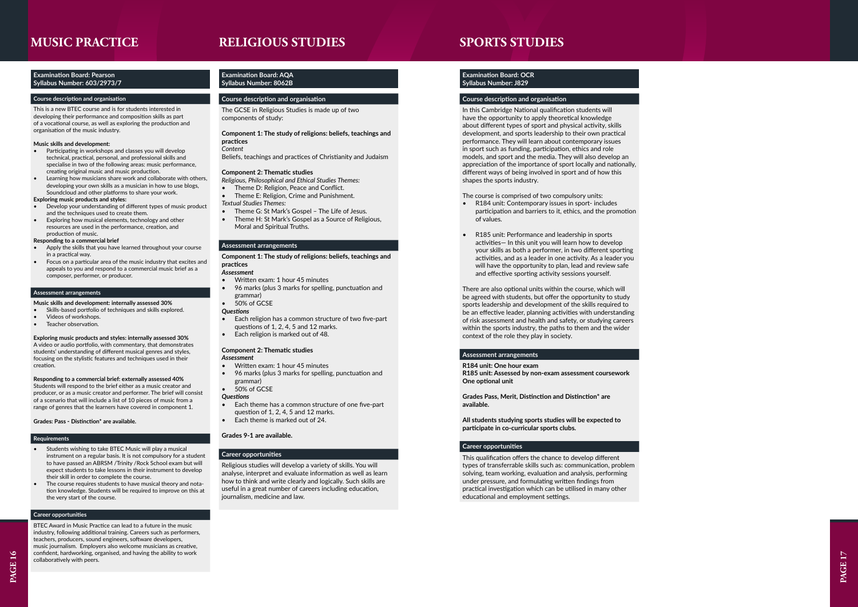### **Examination Board: Pearson Syllabus Number: 603/2973/7**

### **Course description and organisation**

This is a new BTEC course and is for students interested in developing their performance and composition skills as part of a vocational course, as well as exploring the production and organisation of the music industry.

### **Music skills and development:**

- Participating in workshops and classes you will develop technical, practical, personal, and professional skills and specialise in two of the following areas: music performance, creating original music and music production.
- Learning how musicians share work and collaborate with others, developing your own skills as a musician in how to use blogs, Soundcloud and other platforms to share your work.

- Apply the skills that you have learned throughout your course in a practical way.
- Focus on a particular area of the music industry that excites and appeals to you and respond to a commercial music brief as a composer, performer, or producer.

### **Exploring music products and styles:**

- Develop your understanding of different types of music product and the techniques used to create them.
- Exploring how musical elements, technology and other resources are used in the performance, creation, and production of music.

**Responding to a commercial brief**

### **Assessment arrangements**

### **Music skills and development: internally assessed 30%**

- Skills-based portfolio of techniques and skills explored.
- Videos of workshops.
- Teacher observation.

#### **Exploring music products and styles: internally assessed 30%** A video or audio portfolio, with commentary, that demonstrates

students' understanding of different musical genres and styles, focusing on the stylistic features and techniques used in their creation.

**Responding to a commercial brief: externally assessed 40%** Students will respond to the brief either as a music creator and producer, or as a music creator and performer. The brief will consist of a scenario that will include a list of 10 pieces of music from a range of genres that the learners have covered in component 1.

### **Grades: Pass - Distinction\* are available.**

### **Requirements**

- Students wishing to take BTEC Music will play a musical instrument on a regular basis. It is not compulsory for a student to have passed an ABRSM /Trinity /Rock School exam but will expect students to take lessons in their instrument to develop their skill in order to complete the course.
- The course requires students to have musical theory and nota tion knowledge. Students will be required to improve on this at the very start of the course.

### **Career opportunities**

BTEC Award in Music Practice can lead to a future in the music industry, following additional training. Careers such as performers, teachers, producers, sound engineers, software developers, music journalism. Employers also welcome musicians as creative, confident, hardworking, organised, and having the ability to work collaboratively with peers.

### **Examination Board: OCR Syllabus Number: J829**

### **Course description and organisation**

In this Cambridge National qualification students will have the opportunity to apply theoretical knowledge about different types of sport and physical activity, skills development, and sports leadership to their own practical performance. They will learn about contemporary issues in sport such as funding, participation, ethics and role models, and sport and the media. They will also develop an appreciation of the importance of sport locally and nationally, different ways of being involved in sport and of how this shapes the sports industry.

The course is comprised of two compulsory units:

- R184 unit: Contemporary issues in sport- includes participation and barriers to it, ethics, and the promotion of values.
- R185 unit: Performance and leadership in sports activities— In this unit you will learn how to develop your skills as both a performer, in two different sporting activities, and as a leader in one activity. As a leader you will have the opportunity to plan, lead and review safe and effective sporting activity sessions yourself.

There are also optional units within the course, which will be agreed with students, but offer the opportunity to study sports leadership and development of the skills required to be an effective leader, planning activities with understanding of risk assessment and health and safety, or studying careers within the sports industry, the paths to them and the wider context of the role they play in society.

### **Assessment arrangements**

**R184 unit: One hour exam R185 unit: Assessed by non-exam assessment coursework One optional unit**

**Grades Pass, Merit, Distinction and Distinction\* are available.** 

**All students studying sports studies will be expected to participate in co-curricular sports clubs.** 

### **Career opportunities**

### **MUSIC PRACTICE SPORTS STUDIES RELIGIOUS STUDIES**

This qualification offers the chance to develop different types of transferrable skills such as: communication, problem solving, team working, evaluation and analysis, performing under pressure, and formulating written findings from practical investigation which can be utilised in many other educational and employment settings.

### **Examination Board: AQA Syllabus Number: 8062B**

### **Course description and organisation**

The GCSE in Religious Studies is made up of two components of study:

### **Component 1: The study of religions: beliefs, teachings and practices**

### *Content*

Beliefs, teachings and practices of Christianity and Judaism

### **Component 2: Thematic studies**

*Religious, Philosophical and Ethical Studies Themes:*

- Theme D: Religion, Peace and Conflict.
- Theme E: Religion, Crime and Punishment.

### *Textual Studies Themes:*

- Theme G: St Mark's Gospel The Life of Jesus.
- Theme H: St Mark's Gospel as a Source of Religious, Moral and Spiritual Truths.

### **Assessment arrangements**

**Component 1: The study of religions: beliefs, teachings and practices**

### *Assessment*

- Written exam: 1 hour 45 minutes
- 96 marks (plus 3 marks for spelling, punctuation and grammar)

### 50% of GCSE

### *Questions*

- Each religion has a common structure of two five-part questions of 1, 2, 4, 5 and 12 marks.
- Each religion is marked out of 48.

### **Component 2: Thematic studies**

#### *Assessment*

- Written exam: 1 hour 45 minutes
- 96 marks (plus 3 marks for spelling, punctuation and grammar)
- 50% of GCSE

### *Questions*

- Each theme has a common structure of one five-part question of 1, 2, 4, 5 and 12 marks.
- Each theme is marked out of 24.

### **Grades 9-1 are available.**

### **Career opportunities**

Religious studies will develop a variety of skills. You will analyse, interpret and evaluate information as well as learn how to think and write clearly and logically. Such skills are useful in a great number of careers including education, journalism, medicine and law.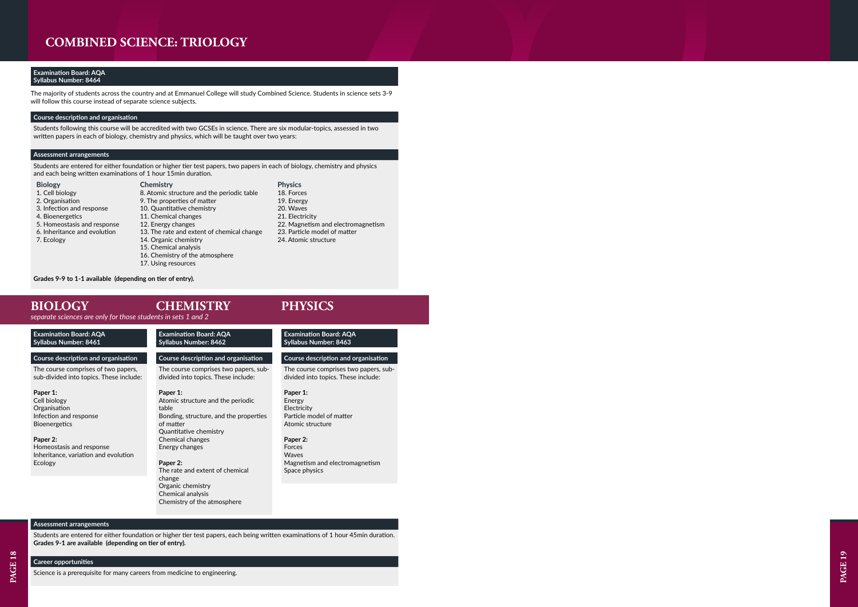*separate sciences are only for those students in sets 1 and 2*

### **COMBINED SCIENCE: TRIOLOGY**

### **Examination Board: AQA Syllabus Number: 8464**

The majority of students across the country and at Emmanuel College will study Combined Science. Students in science sets 3-9 will follow this course instead of separate science subjects.

### **Course description and organisation**

Students following this course will be accredited with two GCSEs in science. There are six modular-topics, assessed in two written papers in each of biology, chemistry and physics, which will be taught over two years:

### **Assessment arrangements**

Students are entered for either foundation or higher tier test papers, two papers in each of biology, chemistry and physics and each being written examinations of 1 hour 15min duration.

### **Biology**

- 1. Cell biology
- 2. Organisation
- 3. Infection and response
- 4. Bioenergetics
- 5. Homeostasis and response
- 6. Inheritance and evolution
- 7. Ecology

**Chemistry**

8. Atomic structure and the periodic table

9. The properties of matter 10. Quantitative chemistry

11. Chemical changes 12. Energy changes

- 13. The rate and extent of chemical change
- 
- 14. Organic chemistry
	- 15. Chemical analysis
- 16. Chemistry of the atmosphere
- 17. Using resources
- 18. Forces 19. Energy 20. Waves 21. Electricity

**Physics**

22. Magnetism and electromagnetism

- 23. Particle model of matter
- 24. Atomic structure

**Grades 9-9 to 1-1 available (depending on tier of entry).** 

### **BIOLOGY**

| <b>Examination Board: AQA</b><br>Syllabus Number: 8461                         | <b>Examination Board: AQA</b><br><b>Syllabus Number: 8462</b>                | <b>Examination Board: AQA</b><br><b>Syllabus Number: 8463</b>                |
|--------------------------------------------------------------------------------|------------------------------------------------------------------------------|------------------------------------------------------------------------------|
| Course description and organisation                                            | Course description and organisation                                          | Course description and organisation                                          |
| The course comprises of two papers,<br>sub-divided into topics. These include: | The course comprises two papers, sub-<br>divided into topics. These include: | The course comprises two papers, sub-<br>divided into topics. These include: |
| Paper 1:                                                                       | Paper 1:                                                                     | Paper 1:                                                                     |
| Cell biology                                                                   | Atomic structure and the periodic                                            | Energy                                                                       |
| Organisation                                                                   | table                                                                        | Electricity                                                                  |
| Infection and response                                                         | Bonding, structure, and the properties                                       | Particle model of matter                                                     |
| <b>Bioenergetics</b>                                                           | of matter                                                                    | Atomic structure                                                             |
|                                                                                | Quantitative chemistry                                                       |                                                                              |
| Paper 2:                                                                       | Chemical changes                                                             | Paper 2:                                                                     |
| Homeostasis and response                                                       | Energy changes                                                               | Forces                                                                       |
| Inheritance, variation and evolution                                           |                                                                              | Waves                                                                        |
| Ecology                                                                        | Paper 2:                                                                     | Magnetism and electromagnetism                                               |
|                                                                                | The rate and extent of chemical                                              | Space physics                                                                |
|                                                                                | change                                                                       |                                                                              |
|                                                                                | Organic chemistry                                                            |                                                                              |
|                                                                                | Chemical analysis                                                            |                                                                              |
|                                                                                | Chemistry of the atmosphere                                                  |                                                                              |

### **CHEMISTRY PHYSICS**

### **Assessment arrangements**

Students are entered for either foundation or higher tier test papers, each being written examinations of 1 hour 45min duration. **Grades 9-1 are available (depending on tier of entry).** 

### **Career opportunities**

Science is a prerequisite for many careers from medicine to engineering.